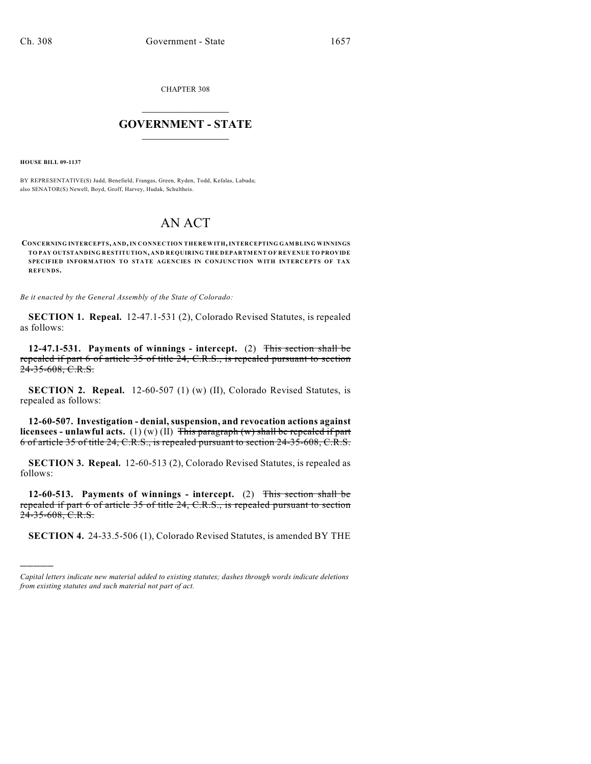CHAPTER 308

## $\mathcal{L}_\text{max}$  . The set of the set of the set of the set of the set of the set of the set of the set of the set of the set of the set of the set of the set of the set of the set of the set of the set of the set of the set **GOVERNMENT - STATE**  $\_$   $\_$   $\_$   $\_$   $\_$   $\_$   $\_$   $\_$

**HOUSE BILL 09-1137**

)))))

BY REPRESENTATIVE(S) Judd, Benefield, Frangas, Green, Ryden, Todd, Kefalas, Labuda; also SENATOR(S) Newell, Boyd, Groff, Harvey, Hudak, Schultheis.

## AN ACT

**CONCERNING INTERCEPTS, AND, IN CONNECTION THEREWITH, INTERCEPTING GAMBLING WINNINGS TO PAY OUTSTANDING RESTITUTION, AND REQUIRING THE DEPARTM ENT OF REVENUE TO PROVIDE SPECIFIED INFORMATION TO STATE AGENCIES IN CONJUNCTION WITH INTERCEPTS OF TAX REFUNDS.**

*Be it enacted by the General Assembly of the State of Colorado:*

**SECTION 1. Repeal.** 12-47.1-531 (2), Colorado Revised Statutes, is repealed as follows:

**12-47.1-531. Payments of winnings - intercept.** (2) This section shall be repealed if part 6 of article 35 of title 24, C.R.S., is repealed pursuant to section 24-35-608, C.R.S.

**SECTION 2. Repeal.** 12-60-507 (1) (w) (II), Colorado Revised Statutes, is repealed as follows:

**12-60-507. Investigation - denial, suspension, and revocation actions against licensees - unlawful acts.** (1) (w) (II) This paragraph (w) shall be repealed if part 6 of article 35 of title 24, C.R.S., is repealed pursuant to section 24-35-608, C.R.S.

**SECTION 3. Repeal.** 12-60-513 (2), Colorado Revised Statutes, is repealed as follows:

**12-60-513. Payments of winnings - intercept.** (2) This section shall be repealed if part 6 of article 35 of title 24, C.R.S., is repealed pursuant to section  $24-35-608$ , C.R.S.

**SECTION 4.** 24-33.5-506 (1), Colorado Revised Statutes, is amended BY THE

*Capital letters indicate new material added to existing statutes; dashes through words indicate deletions from existing statutes and such material not part of act.*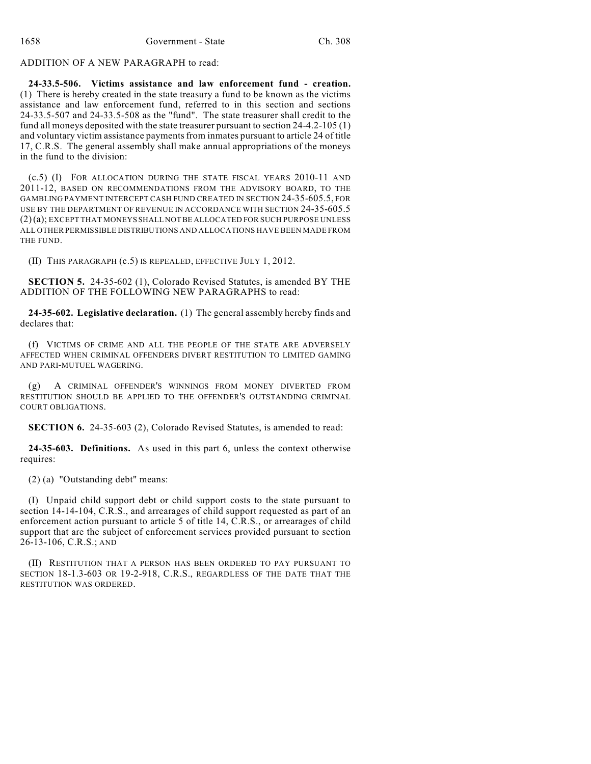ADDITION OF A NEW PARAGRAPH to read:

**24-33.5-506. Victims assistance and law enforcement fund - creation.** (1) There is hereby created in the state treasury a fund to be known as the victims assistance and law enforcement fund, referred to in this section and sections 24-33.5-507 and 24-33.5-508 as the "fund". The state treasurer shall credit to the fund all moneys deposited with the state treasurer pursuant to section 24-4.2-105 (1) and voluntary victim assistance payments from inmates pursuant to article 24 of title 17, C.R.S. The general assembly shall make annual appropriations of the moneys in the fund to the division:

(c.5) (I) FOR ALLOCATION DURING THE STATE FISCAL YEARS 2010-11 AND 2011-12, BASED ON RECOMMENDATIONS FROM THE ADVISORY BOARD, TO THE GAMBLING PAYMENT INTERCEPT CASH FUND CREATED IN SECTION 24-35-605.5, FOR USE BY THE DEPARTMENT OF REVENUE IN ACCORDANCE WITH SECTION 24-35-605.5 (2)(a); EXCEPT THAT MONEYS SHALL NOT BE ALLOCATED FOR SUCH PURPOSE UNLESS ALL OTHER PERMISSIBLE DISTRIBUTIONS AND ALLOCATIONS HAVE BEEN MADE FROM THE FUND.

(II) THIS PARAGRAPH (c.5) IS REPEALED, EFFECTIVE JULY 1, 2012.

**SECTION 5.** 24-35-602 (1), Colorado Revised Statutes, is amended BY THE ADDITION OF THE FOLLOWING NEW PARAGRAPHS to read:

**24-35-602. Legislative declaration.** (1) The general assembly hereby finds and declares that:

(f) VICTIMS OF CRIME AND ALL THE PEOPLE OF THE STATE ARE ADVERSELY AFFECTED WHEN CRIMINAL OFFENDERS DIVERT RESTITUTION TO LIMITED GAMING AND PARI-MUTUEL WAGERING.

A CRIMINAL OFFENDER'S WINNINGS FROM MONEY DIVERTED FROM RESTITUTION SHOULD BE APPLIED TO THE OFFENDER'S OUTSTANDING CRIMINAL COURT OBLIGATIONS.

**SECTION 6.** 24-35-603 (2), Colorado Revised Statutes, is amended to read:

**24-35-603. Definitions.** As used in this part 6, unless the context otherwise requires:

(2) (a) "Outstanding debt" means:

(I) Unpaid child support debt or child support costs to the state pursuant to section 14-14-104, C.R.S., and arrearages of child support requested as part of an enforcement action pursuant to article 5 of title 14, C.R.S., or arrearages of child support that are the subject of enforcement services provided pursuant to section 26-13-106, C.R.S.; AND

(II) RESTITUTION THAT A PERSON HAS BEEN ORDERED TO PAY PURSUANT TO SECTION 18-1.3-603 OR 19-2-918, C.R.S., REGARDLESS OF THE DATE THAT THE RESTITUTION WAS ORDERED.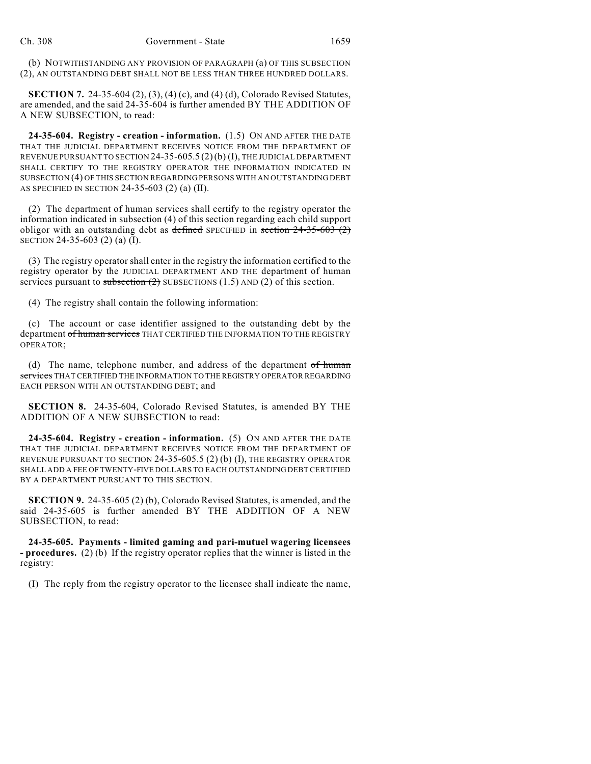(b) NOTWITHSTANDING ANY PROVISION OF PARAGRAPH (a) OF THIS SUBSECTION (2), AN OUTSTANDING DEBT SHALL NOT BE LESS THAN THREE HUNDRED DOLLARS.

**SECTION 7.** 24-35-604 (2), (3), (4) (c), and (4) (d), Colorado Revised Statutes, are amended, and the said 24-35-604 is further amended BY THE ADDITION OF A NEW SUBSECTION, to read:

**24-35-604. Registry - creation - information.** (1.5) ON AND AFTER THE DATE THAT THE JUDICIAL DEPARTMENT RECEIVES NOTICE FROM THE DEPARTMENT OF REVENUE PURSUANT TO SECTION 24-35-605.5 (2)(b) (I), THE JUDICIAL DEPARTMENT SHALL CERTIFY TO THE REGISTRY OPERATOR THE INFORMATION INDICATED IN SUBSECTION (4) OF THIS SECTION REGARDING PERSONS WITH AN OUTSTANDING DEBT AS SPECIFIED IN SECTION 24-35-603 (2) (a) (II).

(2) The department of human services shall certify to the registry operator the information indicated in subsection (4) of this section regarding each child support obligor with an outstanding debt as defined SPECIFIED in section  $24-35-603(2)$ SECTION 24-35-603 (2) (a) (I).

(3) The registry operator shall enter in the registry the information certified to the registry operator by the JUDICIAL DEPARTMENT AND THE department of human services pursuant to subsection  $(2)$  SUBSECTIONS  $(1.5)$  AND  $(2)$  of this section.

(4) The registry shall contain the following information:

(c) The account or case identifier assigned to the outstanding debt by the department of human services THAT CERTIFIED THE INFORMATION TO THE REGISTRY OPERATOR;

(d) The name, telephone number, and address of the department  $of$  human services THAT CERTIFIED THE INFORMATION TO THE REGISTRY OPERATOR REGARDING EACH PERSON WITH AN OUTSTANDING DEBT; and

**SECTION 8.** 24-35-604, Colorado Revised Statutes, is amended BY THE ADDITION OF A NEW SUBSECTION to read:

**24-35-604. Registry - creation - information.** (5) ON AND AFTER THE DATE THAT THE JUDICIAL DEPARTMENT RECEIVES NOTICE FROM THE DEPARTMENT OF REVENUE PURSUANT TO SECTION 24-35-605.5 (2) (b) (I), THE REGISTRY OPERATOR SHALL ADD A FEE OF TWENTY-FIVE DOLLARS TO EACH OUTSTANDING DEBT CERTIFIED BY A DEPARTMENT PURSUANT TO THIS SECTION.

**SECTION 9.** 24-35-605 (2) (b), Colorado Revised Statutes, is amended, and the said 24-35-605 is further amended BY THE ADDITION OF A NEW SUBSECTION, to read:

**24-35-605. Payments - limited gaming and pari-mutuel wagering licensees - procedures.** (2) (b) If the registry operator replies that the winner is listed in the registry:

(I) The reply from the registry operator to the licensee shall indicate the name,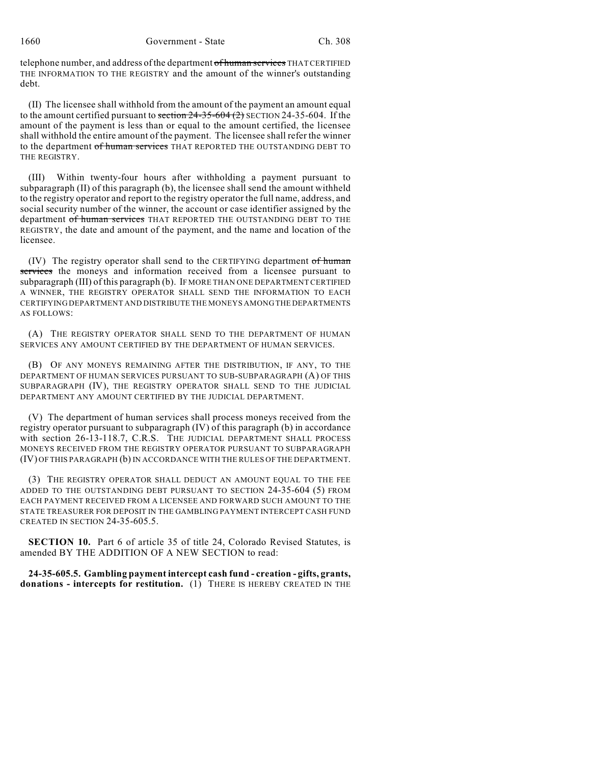telephone number, and address of the department of human services THAT CERTIFIED THE INFORMATION TO THE REGISTRY and the amount of the winner's outstanding debt.

(II) The licensee shall withhold from the amount of the payment an amount equal to the amount certified pursuant to section  $24-35-604$  (2) SECTION 24-35-604. If the amount of the payment is less than or equal to the amount certified, the licensee shall withhold the entire amount of the payment. The licensee shall refer the winner to the department of human services THAT REPORTED THE OUTSTANDING DEBT TO THE REGISTRY.

(III) Within twenty-four hours after withholding a payment pursuant to subparagraph (II) of this paragraph (b), the licensee shall send the amount withheld to the registry operator and report to the registry operator the full name, address, and social security number of the winner, the account or case identifier assigned by the department of human services THAT REPORTED THE OUTSTANDING DEBT TO THE REGISTRY, the date and amount of the payment, and the name and location of the licensee.

(IV) The registry operator shall send to the CERTIFYING department of human services the moneys and information received from a licensee pursuant to subparagraph (III) of this paragraph (b). IF MORE THAN ONE DEPARTMENT CERTIFIED A WINNER, THE REGISTRY OPERATOR SHALL SEND THE INFORMATION TO EACH CERTIFYING DEPARTMENT AND DISTRIBUTE THE MONEYS AMONG THE DEPARTMENTS AS FOLLOWS:

(A) THE REGISTRY OPERATOR SHALL SEND TO THE DEPARTMENT OF HUMAN SERVICES ANY AMOUNT CERTIFIED BY THE DEPARTMENT OF HUMAN SERVICES.

(B) OF ANY MONEYS REMAINING AFTER THE DISTRIBUTION, IF ANY, TO THE DEPARTMENT OF HUMAN SERVICES PURSUANT TO SUB-SUBPARAGRAPH (A) OF THIS SUBPARAGRAPH (IV), THE REGISTRY OPERATOR SHALL SEND TO THE JUDICIAL DEPARTMENT ANY AMOUNT CERTIFIED BY THE JUDICIAL DEPARTMENT.

(V) The department of human services shall process moneys received from the registry operator pursuant to subparagraph (IV) of this paragraph (b) in accordance with section 26-13-118.7, C.R.S. THE JUDICIAL DEPARTMENT SHALL PROCESS MONEYS RECEIVED FROM THE REGISTRY OPERATOR PURSUANT TO SUBPARAGRAPH (IV) OF THIS PARAGRAPH (b) IN ACCORDANCE WITH THE RULES OF THE DEPARTMENT.

(3) THE REGISTRY OPERATOR SHALL DEDUCT AN AMOUNT EQUAL TO THE FEE ADDED TO THE OUTSTANDING DEBT PURSUANT TO SECTION 24-35-604 (5) FROM EACH PAYMENT RECEIVED FROM A LICENSEE AND FORWARD SUCH AMOUNT TO THE STATE TREASURER FOR DEPOSIT IN THE GAMBLING PAYMENT INTERCEPT CASH FUND CREATED IN SECTION 24-35-605.5.

**SECTION 10.** Part 6 of article 35 of title 24, Colorado Revised Statutes, is amended BY THE ADDITION OF A NEW SECTION to read:

**24-35-605.5. Gambling payment intercept cash fund - creation - gifts, grants, donations - intercepts for restitution.** (1) THERE IS HEREBY CREATED IN THE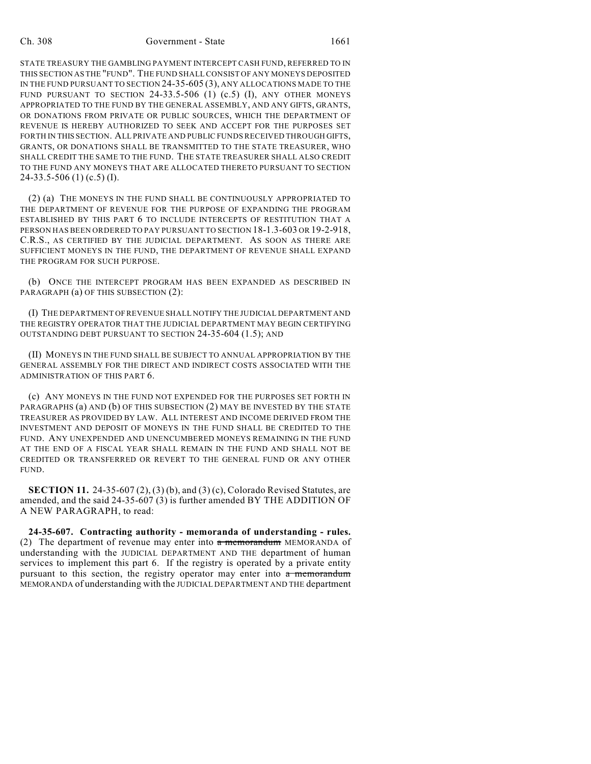STATE TREASURY THE GAMBLING PAYMENT INTERCEPT CASH FUND, REFERRED TO IN THIS SECTION AS THE "FUND". THE FUND SHALL CONSIST OF ANY MONEYS DEPOSITED IN THE FUND PURSUANT TO SECTION 24-35-605 (3), ANY ALLOCATIONS MADE TO THE FUND PURSUANT TO SECTION 24-33.5-506 (1) (c.5) (I), ANY OTHER MONEYS APPROPRIATED TO THE FUND BY THE GENERAL ASSEMBLY, AND ANY GIFTS, GRANTS, OR DONATIONS FROM PRIVATE OR PUBLIC SOURCES, WHICH THE DEPARTMENT OF REVENUE IS HEREBY AUTHORIZED TO SEEK AND ACCEPT FOR THE PURPOSES SET FORTH IN THIS SECTION. ALL PRIVATE AND PUBLIC FUNDS RECEIVED THROUGH GIFTS, GRANTS, OR DONATIONS SHALL BE TRANSMITTED TO THE STATE TREASURER, WHO SHALL CREDIT THE SAME TO THE FUND. THE STATE TREASURER SHALL ALSO CREDIT TO THE FUND ANY MONEYS THAT ARE ALLOCATED THERETO PURSUANT TO SECTION  $24-33.5-506$  (1) (c.5) (I).

(2) (a) THE MONEYS IN THE FUND SHALL BE CONTINUOUSLY APPROPRIATED TO THE DEPARTMENT OF REVENUE FOR THE PURPOSE OF EXPANDING THE PROGRAM ESTABLISHED BY THIS PART 6 TO INCLUDE INTERCEPTS OF RESTITUTION THAT A PERSON HAS BEEN ORDERED TO PAY PURSUANT TO SECTION 18-1.3-603 OR 19-2-918, C.R.S., AS CERTIFIED BY THE JUDICIAL DEPARTMENT. AS SOON AS THERE ARE SUFFICIENT MONEYS IN THE FUND, THE DEPARTMENT OF REVENUE SHALL EXPAND THE PROGRAM FOR SUCH PURPOSE.

(b) ONCE THE INTERCEPT PROGRAM HAS BEEN EXPANDED AS DESCRIBED IN PARAGRAPH (a) OF THIS SUBSECTION (2):

(I) THE DEPARTMENT OF REVENUE SHALL NOTIFY THE JUDICIAL DEPARTMENT AND THE REGISTRY OPERATOR THAT THE JUDICIAL DEPARTMENT MAY BEGIN CERTIFYING OUTSTANDING DEBT PURSUANT TO SECTION 24-35-604 (1.5); AND

(II) MONEYS IN THE FUND SHALL BE SUBJECT TO ANNUAL APPROPRIATION BY THE GENERAL ASSEMBLY FOR THE DIRECT AND INDIRECT COSTS ASSOCIATED WITH THE ADMINISTRATION OF THIS PART 6.

(c) ANY MONEYS IN THE FUND NOT EXPENDED FOR THE PURPOSES SET FORTH IN PARAGRAPHS (a) AND (b) OF THIS SUBSECTION (2) MAY BE INVESTED BY THE STATE TREASURER AS PROVIDED BY LAW. ALL INTEREST AND INCOME DERIVED FROM THE INVESTMENT AND DEPOSIT OF MONEYS IN THE FUND SHALL BE CREDITED TO THE FUND. ANY UNEXPENDED AND UNENCUMBERED MONEYS REMAINING IN THE FUND AT THE END OF A FISCAL YEAR SHALL REMAIN IN THE FUND AND SHALL NOT BE CREDITED OR TRANSFERRED OR REVERT TO THE GENERAL FUND OR ANY OTHER FUND.

**SECTION 11.** 24-35-607 (2), (3) (b), and (3) (c), Colorado Revised Statutes, are amended, and the said 24-35-607 (3) is further amended BY THE ADDITION OF A NEW PARAGRAPH, to read:

**24-35-607. Contracting authority - memoranda of understanding - rules.** (2) The department of revenue may enter into  $\alpha$  memorandum MEMORANDA of understanding with the JUDICIAL DEPARTMENT AND THE department of human services to implement this part 6. If the registry is operated by a private entity pursuant to this section, the registry operator may enter into  $\alpha$  memorandum MEMORANDA of understanding with the JUDICIAL DEPARTMENT AND THE department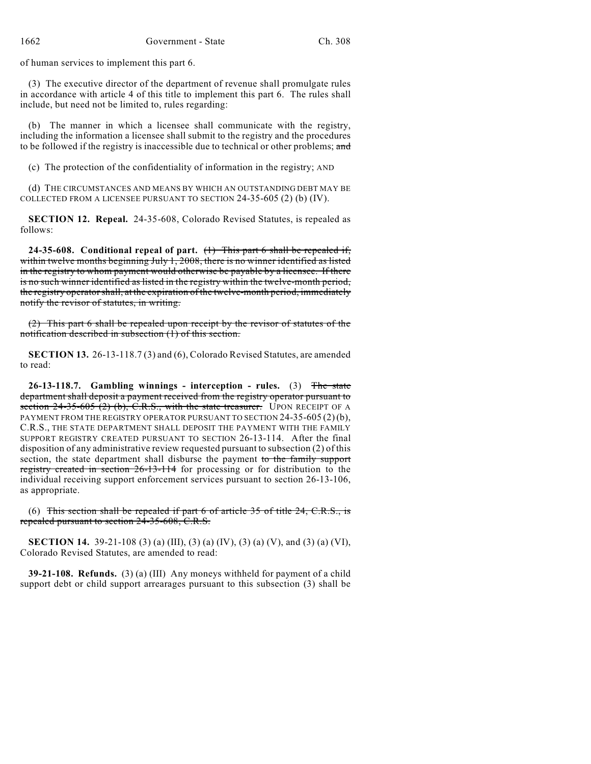of human services to implement this part 6.

(3) The executive director of the department of revenue shall promulgate rules in accordance with article 4 of this title to implement this part 6. The rules shall include, but need not be limited to, rules regarding:

(b) The manner in which a licensee shall communicate with the registry, including the information a licensee shall submit to the registry and the procedures to be followed if the registry is inaccessible due to technical or other problems; and

(c) The protection of the confidentiality of information in the registry; AND

(d) THE CIRCUMSTANCES AND MEANS BY WHICH AN OUTSTANDING DEBT MAY BE COLLECTED FROM A LICENSEE PURSUANT TO SECTION 24-35-605 (2) (b) (IV).

**SECTION 12. Repeal.** 24-35-608, Colorado Revised Statutes, is repealed as follows:

**24-35-608. Conditional repeal of part.** (1) This part 6 shall be repealed if, within twelve months beginning July 1, 2008, there is no winner identified as listed in the registry to whom payment would otherwise be payable by a licensee. If there is no such winner identified as listed in the registry within the twelve-month period, the registry operator shall, at the expiration of the twelve-month period, immediately notify the revisor of statutes, in writing.

(2) This part 6 shall be repealed upon receipt by the revisor of statutes of the notification described in subsection (1) of this section.

**SECTION 13.** 26-13-118.7 (3) and (6), Colorado Revised Statutes, are amended to read:

**26-13-118.7. Gambling winnings - interception - rules.** (3) The state department shall deposit a payment received from the registry operator pursuant to section  $24-35-605$  (2) (b), C.R.S., with the state treasurer. UPON RECEIPT OF A PAYMENT FROM THE REGISTRY OPERATOR PURSUANT TO SECTION 24-35-605 (2)(b), C.R.S., THE STATE DEPARTMENT SHALL DEPOSIT THE PAYMENT WITH THE FAMILY SUPPORT REGISTRY CREATED PURSUANT TO SECTION 26-13-114. After the final disposition of any administrative review requested pursuant to subsection (2) of this section, the state department shall disburse the payment to the family support registry created in section 26-13-114 for processing or for distribution to the individual receiving support enforcement services pursuant to section 26-13-106, as appropriate.

(6) This section shall be repealed if part 6 of article 35 of title 24, C.R.S., is repealed pursuant to section 24-35-608, C.R.S.

**SECTION 14.** 39-21-108 (3) (a) (III), (3) (a) (IV), (3) (a) (V), and (3) (a) (VI), Colorado Revised Statutes, are amended to read:

**39-21-108. Refunds.** (3) (a) (III) Any moneys withheld for payment of a child support debt or child support arrearages pursuant to this subsection (3) shall be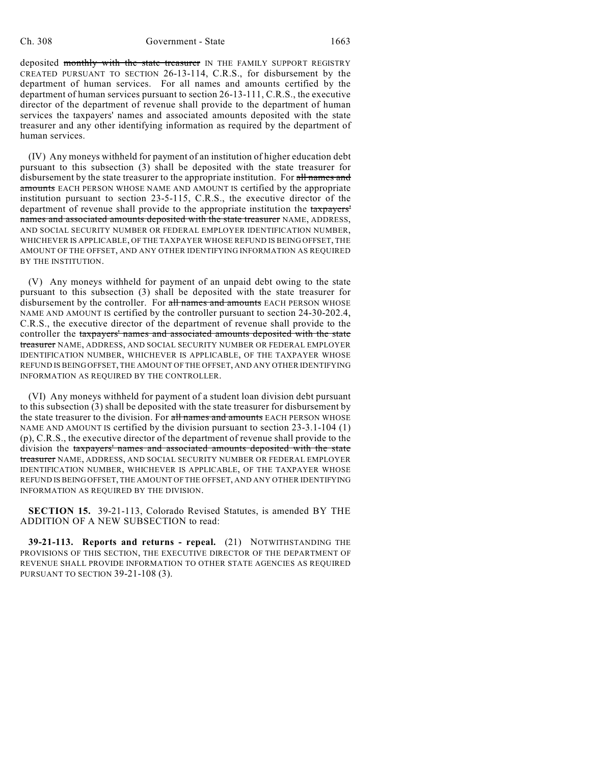deposited monthly with the state treasurer IN THE FAMILY SUPPORT REGISTRY CREATED PURSUANT TO SECTION 26-13-114, C.R.S., for disbursement by the department of human services. For all names and amounts certified by the department of human services pursuant to section 26-13-111, C.R.S., the executive director of the department of revenue shall provide to the department of human services the taxpayers' names and associated amounts deposited with the state treasurer and any other identifying information as required by the department of human services.

(IV) Any moneys withheld for payment of an institution of higher education debt pursuant to this subsection (3) shall be deposited with the state treasurer for disbursement by the state treasurer to the appropriate institution. For all names and amounts EACH PERSON WHOSE NAME AND AMOUNT IS certified by the appropriate institution pursuant to section 23-5-115, C.R.S., the executive director of the department of revenue shall provide to the appropriate institution the taxpayers' names and associated amounts deposited with the state treasurer NAME, ADDRESS, AND SOCIAL SECURITY NUMBER OR FEDERAL EMPLOYER IDENTIFICATION NUMBER, WHICHEVER IS APPLICABLE, OF THE TAXPAYER WHOSE REFUND IS BEING OFFSET, THE AMOUNT OF THE OFFSET, AND ANY OTHER IDENTIFYING INFORMATION AS REQUIRED BY THE INSTITUTION.

(V) Any moneys withheld for payment of an unpaid debt owing to the state pursuant to this subsection (3) shall be deposited with the state treasurer for disbursement by the controller. For all names and amounts EACH PERSON WHOSE NAME AND AMOUNT IS certified by the controller pursuant to section 24-30-202.4, C.R.S., the executive director of the department of revenue shall provide to the controller the taxpayers' names and associated amounts deposited with the state treasurer NAME, ADDRESS, AND SOCIAL SECURITY NUMBER OR FEDERAL EMPLOYER IDENTIFICATION NUMBER, WHICHEVER IS APPLICABLE, OF THE TAXPAYER WHOSE REFUND IS BEING OFFSET, THE AMOUNT OF THE OFFSET, AND ANY OTHER IDENTIFYING INFORMATION AS REQUIRED BY THE CONTROLLER.

(VI) Any moneys withheld for payment of a student loan division debt pursuant to this subsection (3) shall be deposited with the state treasurer for disbursement by the state treasurer to the division. For all names and amounts EACH PERSON WHOSE NAME AND AMOUNT IS certified by the division pursuant to section 23-3.1-104 (1) (p), C.R.S., the executive director of the department of revenue shall provide to the division the taxpayers' names and associated amounts deposited with the state treasurer NAME, ADDRESS, AND SOCIAL SECURITY NUMBER OR FEDERAL EMPLOYER IDENTIFICATION NUMBER, WHICHEVER IS APPLICABLE, OF THE TAXPAYER WHOSE REFUND IS BEING OFFSET, THE AMOUNT OF THE OFFSET, AND ANY OTHER IDENTIFYING INFORMATION AS REQUIRED BY THE DIVISION.

**SECTION 15.** 39-21-113, Colorado Revised Statutes, is amended BY THE ADDITION OF A NEW SUBSECTION to read:

**39-21-113. Reports and returns - repeal.** (21) NOTWITHSTANDING THE PROVISIONS OF THIS SECTION, THE EXECUTIVE DIRECTOR OF THE DEPARTMENT OF REVENUE SHALL PROVIDE INFORMATION TO OTHER STATE AGENCIES AS REQUIRED PURSUANT TO SECTION 39-21-108 (3).